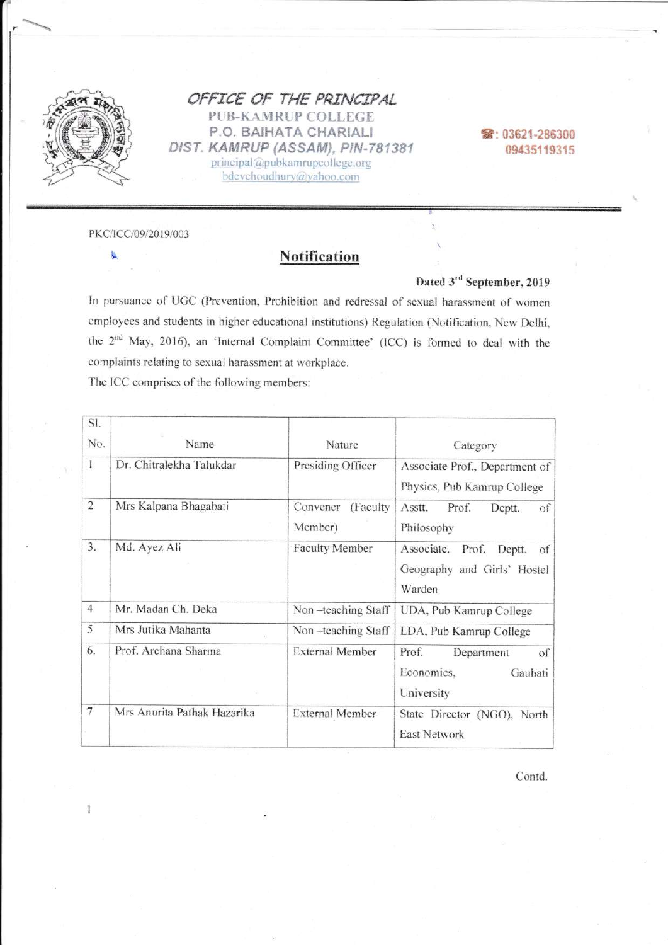

OFFICE OF THE PRINCIPAL **PUB-KAMRUP COLLEGE** P.O. BAIHATA CHARIALI DIST. KAMRUP (ASSAM), PIN-781381 principal@pubkamrupcollege.org bdevchoudhury@yahoo.com

窗: 03621-286300 09435119315

PKC/ICC/09/2019/003

氯

## **Notification**

Dated 3rd September, 2019

In pursuance of UGC (Prevention, Prohibition and redressal of sexual harassment of women employees and students in higher educational institutions) Regulation (Notification, New Delhi, the 2<sup>nd</sup> May, 2016), an 'Internal Complaint Committee' (ICC) is formed to deal with the complaints relating to sexual harassment at workplace.

The ICC comprises of the following members:

| SI.            |                             |                                  |                                                                              |
|----------------|-----------------------------|----------------------------------|------------------------------------------------------------------------------|
| No.            | Name                        | Nature                           | Category                                                                     |
| 1              | Dr. Chitralekha Talukdar    | Presiding Officer                | Associate Prof., Department of<br>Physics, Pub Kamrup College                |
| $\sqrt{2}$     | Mrs Kalpana Bhagabati       | Convener<br>(Faculty)<br>Member) | Prof.<br>Asstt.<br>Deptt.<br>of<br>Philosophy                                |
| 3.             | Md. Ayez Ali                | <b>Faculty Member</b>            | Associate.<br>Prof.<br>Deptt.<br>of<br>Geography and Girls' Hostel<br>Warden |
| $\overline{4}$ | Mr. Madan Ch. Deka          | Non-teaching Staff               | UDA, Pub Kamrup College                                                      |
| 5              | Mrs Jutika Mahanta          | Non-teaching Staff               | LDA, Pub Kamrup College                                                      |
| 6.             | Prof. Archana Sharma        | <b>External Member</b>           | Prof.<br>of<br>Department<br>Economics,<br>Gauhati<br>University             |
| 7              | Mrs Anurita Pathak Hazarika | <b>External Member</b>           | State Director (NGO), North<br><b>East Network</b>                           |

Contd.

 $\mathbf{I}$